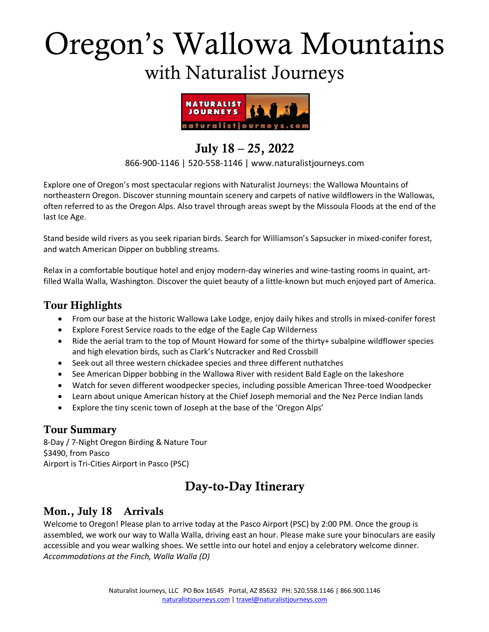# Oregon's Wallowa Mountains with Naturalist Journeys



# July 18 – 25, 2022

#### 866-900-1146 | 520-558-1146 | www.naturalistjourneys.com

Explore one of Oregon's most spectacular regions with Naturalist Journeys: the Wallowa Mountains of northeastern Oregon. Discover stunning mountain scenery and carpets of native wildflowers in the Wallowas, often referred to as the Oregon Alps. Also travel through areas swept by the Missoula Floods at the end of the last Ice Age.

Stand beside wild rivers as you seek riparian birds. Search for Williamson's Sapsucker in mixed-conifer forest, and watch American Dipper on bubbling streams.

Relax in a comfortable boutique hotel and enjoy modern-day wineries and wine-tasting rooms in quaint, artfilled Walla Walla, Washington. Discover the quiet beauty of a little-known but much enjoyed part of America.

## Tour Highlights

- From our base at the historic Wallowa Lake Lodge, enjoy daily hikes and strolls in mixed-conifer forest
- Explore Forest Service roads to the edge of the Eagle Cap Wilderness
- Ride the aerial tram to the top of Mount Howard for some of the thirty+ subalpine wildflower species and high elevation birds, such as Clark's Nutcracker and Red Crossbill
- Seek out all three western chickadee species and three different nuthatches
- See American Dipper bobbing in the Wallowa River with resident Bald Eagle on the lakeshore
- Watch for seven different woodpecker species, including possible American Three-toed Woodpecker
- Learn about unique American history at the Chief Joseph memorial and the Nez Perce Indian lands
- Explore the tiny scenic town of Joseph at the base of the 'Oregon Alps'

## Tour Summary

8-Day / 7-Night Oregon Birding & Nature Tour \$3490, from Pasco Airport is Tri-Cities Airport in Pasco (PSC)

# Day-to-Day Itinerary

# Mon., July 18 Arrivals

Welcome to Oregon! Please plan to arrive today at the Pasco Airport (PSC) by 2:00 PM. Once the group is assembled, we work our way to Walla Walla, driving east an hour. Please make sure your binoculars are easily accessible and you wear walking shoes. We settle into our hotel and enjoy a celebratory welcome dinner. *Accommodations at the Finch, Walla Walla (D)*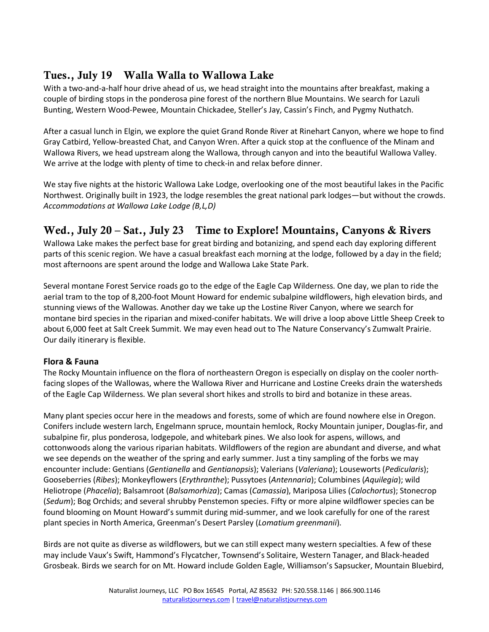# Tues., July 19 Walla Walla to Wallowa Lake

With a two-and-a-half hour drive ahead of us, we head straight into the mountains after breakfast, making a couple of birding stops in the ponderosa pine forest of the northern Blue Mountains. We search for Lazuli Bunting, Western Wood-Pewee, Mountain Chickadee, Steller's Jay, Cassin's Finch, and Pygmy Nuthatch.

After a casual lunch in Elgin, we explore the quiet Grand Ronde River at Rinehart Canyon, where we hope to find Gray Catbird, Yellow-breasted Chat, and Canyon Wren. After a quick stop at the confluence of the Minam and Wallowa Rivers, we head upstream along the Wallowa, through canyon and into the beautiful Wallowa Valley. We arrive at the lodge with plenty of time to check-in and relax before dinner.

We stay five nights at the historic Wallowa Lake Lodge, overlooking one of the most beautiful lakes in the Pacific Northwest. Originally built in 1923, the lodge resembles the great national park lodges—but without the crowds. *Accommodations at Wallowa Lake Lodge (B,L,D)*

# Wed., July 20 – Sat., July 23 Time to Explore! Mountains, Canyons & Rivers

Wallowa Lake makes the perfect base for great birding and botanizing, and spend each day exploring different parts of this scenic region. We have a casual breakfast each morning at the lodge, followed by a day in the field; most afternoons are spent around the lodge and Wallowa Lake State Park.

Several montane Forest Service roads go to the edge of the Eagle Cap Wilderness. One day, we plan to ride the aerial tram to the top of 8,200-foot Mount Howard for endemic subalpine wildflowers, high elevation birds, and stunning views of the Wallowas. Another day we take up the Lostine River Canyon, where we search for montane bird species in the riparian and mixed-conifer habitats. We will drive a loop above Little Sheep Creek to about 6,000 feet at Salt Creek Summit. We may even head out to The Nature Conservancy's Zumwalt Prairie. Our daily itinerary is flexible.

#### **Flora & Fauna**

The Rocky Mountain influence on the flora of northeastern Oregon is especially on display on the cooler northfacing slopes of the Wallowas, where the Wallowa River and Hurricane and Lostine Creeks drain the watersheds of the Eagle Cap Wilderness. We plan several short hikes and strolls to bird and botanize in these areas.

Many plant species occur here in the meadows and forests, some of which are found nowhere else in Oregon. Conifers include western larch, Engelmann spruce, mountain hemlock, Rocky Mountain juniper, Douglas-fir, and subalpine fir, plus ponderosa, lodgepole, and whitebark pines. We also look for aspens, willows, and cottonwoods along the various riparian habitats. Wildflowers of the region are abundant and diverse, and what we see depends on the weather of the spring and early summer. Just a tiny sampling of the forbs we may encounter include: Gentians (*Gentianella* and *Gentianopsis*); Valerians (*Valeriana*); Louseworts (*Pedicularis*); Gooseberries (*Ribes*); Monkeyflowers (*Erythranthe*); Pussytoes (*Antennaria*); Columbines (*Aquilegia*); wild Heliotrope (*Phacelia*); Balsamroot (*Balsamorhiza*); Camas (*Camassia*), Mariposa Lilies (*Calochortus*); Stonecrop (*Sedum*); Bog Orchids; and several shrubby Penstemon species. Fifty or more alpine wildflower species can be found blooming on Mount Howard's summit during mid-summer, and we look carefully for one of the rarest plant species in North America, Greenman's Desert Parsley (*Lomatium greenmanii*).

Birds are not quite as diverse as wildflowers, but we can still expect many western specialties. A few of these may include Vaux's Swift, Hammond's Flycatcher, Townsend's Solitaire, Western Tanager, and Black-headed Grosbeak. Birds we search for on Mt. Howard include Golden Eagle, Williamson's Sapsucker, Mountain Bluebird,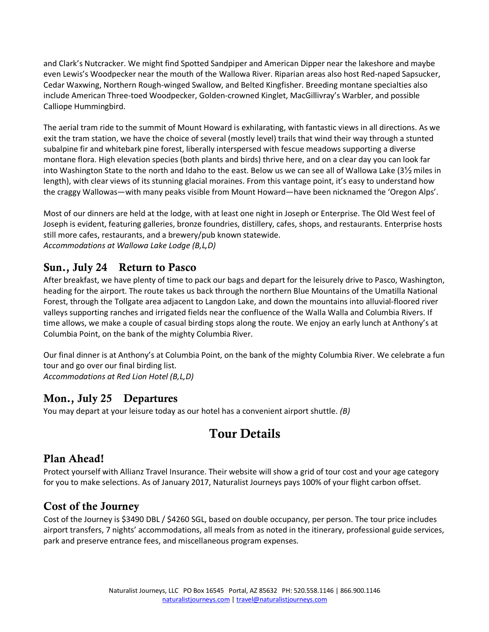and Clark's Nutcracker. We might find Spotted Sandpiper and American Dipper near the lakeshore and maybe even Lewis's Woodpecker near the mouth of the Wallowa River. Riparian areas also host Red-naped Sapsucker, Cedar Waxwing, Northern Rough-winged Swallow, and Belted Kingfisher. Breeding montane specialties also include American Three-toed Woodpecker, Golden-crowned Kinglet, MacGillivray's Warbler, and possible Calliope Hummingbird.

The aerial tram ride to the summit of Mount Howard is exhilarating, with fantastic views in all directions. As we exit the tram station, we have the choice of several (mostly level) trails that wind their way through a stunted subalpine fir and whitebark pine forest, liberally interspersed with fescue meadows supporting a diverse montane flora. High elevation species (both plants and birds) thrive here, and on a clear day you can look far into Washington State to the north and Idaho to the east. Below us we can see all of Wallowa Lake (3½ miles in length), with clear views of its stunning glacial moraines. From this vantage point, it's easy to understand how the craggy Wallowas—with many peaks visible from Mount Howard—have been nicknamed the 'Oregon Alps'.

Most of our dinners are held at the lodge, with at least one night in Joseph or Enterprise. The Old West feel of Joseph is evident, featuring galleries, bronze foundries, distillery, cafes, shops, and restaurants. Enterprise hosts still more cafes, restaurants, and a brewery/pub known statewide. *Accommodations at Wallowa Lake Lodge (B,L,D)*

# Sun., July 24 Return to Pasco

After breakfast, we have plenty of time to pack our bags and depart for the leisurely drive to Pasco, Washington, heading for the airport. The route takes us back through the northern Blue Mountains of the Umatilla National Forest, through the Tollgate area adjacent to Langdon Lake, and down the mountains into alluvial-floored river valleys supporting ranches and irrigated fields near the confluence of the Walla Walla and Columbia Rivers. If time allows, we make a couple of casual birding stops along the route. We enjoy an early lunch at Anthony's at Columbia Point, on the bank of the mighty Columbia River.

Our final dinner is at Anthony's at Columbia Point, on the bank of the mighty Columbia River. We celebrate a fun tour and go over our final birding list.

*Accommodations at Red Lion Hotel (B,L,D)*

## Mon., July 25 Departures

You may depart at your leisure today as our hotel has a convenient airport shuttle. *(B)*

# Tour Details

#### Plan Ahead!

Protect yourself with Allianz Travel Insurance. Their website will show a grid of tour cost and your age category for you to make selections. As of January 2017, Naturalist Journeys pays 100% of your flight carbon offset.

## Cost of the Journey

Cost of the Journey is \$3490 DBL / \$4260 SGL, based on double occupancy, per person. The tour price includes airport transfers, 7 nights' accommodations, all meals from as noted in the itinerary, professional guide services, park and preserve entrance fees, and miscellaneous program expenses.